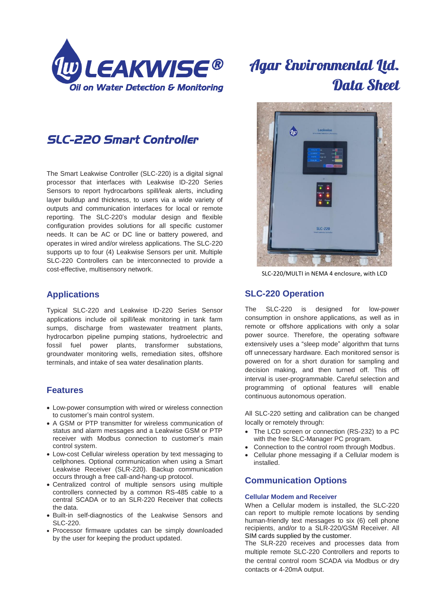

# **Agar Environmental Ltd.** Data Sheet

## *SLC-220 Smart Controller*

The Smart Leakwise Controller (SLC-220) is a digital signal processor that interfaces with Leakwise ID-220 Series Sensors to report hydrocarbons spill/leak alerts, including layer buildup and thickness, to users via a wide variety of outputs and communication interfaces for local or remote reporting. The SLC-220's modular design and flexible configuration provides solutions for all specific customer needs. It can be AC or DC line or battery powered, and operates in wired and/or wireless applications. The SLC-220 supports up to four (4) Leakwise Sensors per unit. Multiple SLC-220 Controllers can be interconnected to provide a cost-effective, multisensory network.

### **Applications**

Typical SLC-220 and Leakwise ID-220 Series Sensor applications include oil spill/leak monitoring in tank farm sumps, discharge from wastewater treatment plants, hydrocarbon pipeline pumping stations, hydroelectric and fossil fuel power plants, transformer substations, groundwater monitoring wells, remediation sites, offshore terminals, and intake of sea water desalination plants.

### **Features**

- Low-power consumption with wired or wireless connection to customer's main control system.
- A GSM or PTP transmitter for wireless communication of status and alarm messages and a Leakwise GSM or PTP receiver with Modbus connection to customer's main control system.
- Low-cost Cellular wireless operation by text messaging to cellphones. Optional communication when using a Smart Leakwise Receiver (SLR-220). Backup communication occurs through a free call-and-hang-up protocol.
- Centralized control of multiple sensors using multiple controllers connected by a common RS-485 cable to a central SCADA or to an SLR-220 Receiver that collects the data.
- Built-in self-diagnostics of the Leakwise Sensors and SLC-220.
- Processor firmware updates can be simply downloaded by the user for keeping the product updated.



SLC-220/MULTI in NEMA 4 enclosure, with LCD

## **SLC-220 Operation**

The SLC-220 is designed for low-power consumption in onshore applications, as well as in remote or offshore applications with only a solar power source. Therefore, the operating software extensively uses a "sleep mode" algorithm that turns off unnecessary hardware. Each monitored sensor is powered on for a short duration for sampling and decision making, and then turned off. This off interval is user-programmable. Careful selection and programming of optional features will enable continuous autonomous operation.

All SLC-220 setting and calibration can be changed locally or remotely through:

- The LCD screen or connection (RS-232) to a PC with the free SLC-Manager PC program.
- Connection to the control room through Modbus.
- Cellular phone messaging if a Cellular modem is installed.

## **Communication Options**

#### **Cellular Modem and Receiver**

When a Cellular modem is installed, the SLC-220 can report to multiple remote locations by sending human-friendly text messages to six (6) cell phone recipients, and/or to a SLR-220/GSM Receiver. All SIM cards supplied by the customer.

The SLR-220 receives and processes data from multiple remote SLC-220 Controllers and reports to the central control room SCADA via Modbus or dry contacts or 4-20mA output.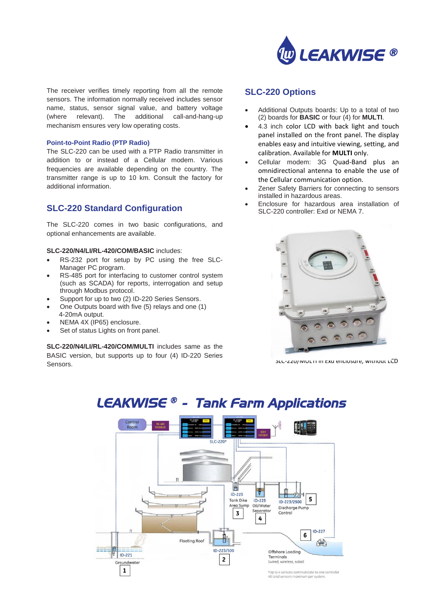

The receiver verifies timely reporting from all the remote sensors. The information normally received includes sensor name, status, sensor signal value, and battery voltage (where relevant). The additional call-and-hang-up mechanism ensures very low operating costs.

#### **Point-to-Point Radio (PTP Radio)**

The SLC-220 can be used with a PTP Radio transmitter in addition to or instead of a Cellular modem. Various frequencies are available depending on the country. The transmitter range is up to 10 km. Consult the factory for additional information.

## **SLC-220 Standard Configuration**

The SLC-220 comes in two basic configurations, and optional enhancements are available.

#### **SLC-220/N4/LI/RL-420/COM/BASIC** includes:

- RS-232 port for setup by PC using the free SLC-Manager PC program.
- RS-485 port for interfacing to customer control system (such as SCADA) for reports, interrogation and setup through Modbus protocol.
- Support for up to two (2) ID-220 Series Sensors.
- One Outputs board with five (5) relays and one (1) 4-20mA output.
- NEMA 4X (IP65) enclosure.
- Set of status Lights on front panel.

**SLC-220/N4/LI/RL-420/COM/MULTI** includes same as the BASIC version, but supports up to four (4) ID-220 Series Sensors.

### **SLC-220 Options**

- Additional Outputs boards: Up to a total of two (2) boards for **BASIC** or four (4) for **MULTI**.
- 4.3 inch color LCD with back light and touch panel installed on the front panel. The display enables easy and intuitive viewing, setting, and calibration. Available for **MULTI** only.
- Cellular modem: 3G Quad-Band plus an omnidirectional antenna to enable the use of the Cellular communication option.
- Zener Safety Barriers for connecting to sensors installed in hazardous areas.
- Enclosure for hazardous area installation of SLC-220 controller: Exd or NEMA 7.



SLC-220/MULTI In Exa enclosure, without LCD

#### 阊  $\ddot{r}$  $ID - 223$ 5 **Tank Dike**  $ID-225$ ID-223/2500 Oil/Water Area Su Discharge Pump Separato  $\overline{\mathbf{3}}$ Control 4  $ID-227$ 6 **Floating Roof** Ħ 金 ID-223/500 Offshore Loading  $ID - 221$ Terminals  $\mathbf{z}$ Ground (wired, wireless, solar)  $\mathbf 1$ \*Up to 4 sensors communicate to one controlle<br>40 total sensors maximum per system.

## *LEAKWISE ® - Tank Farm Applications*